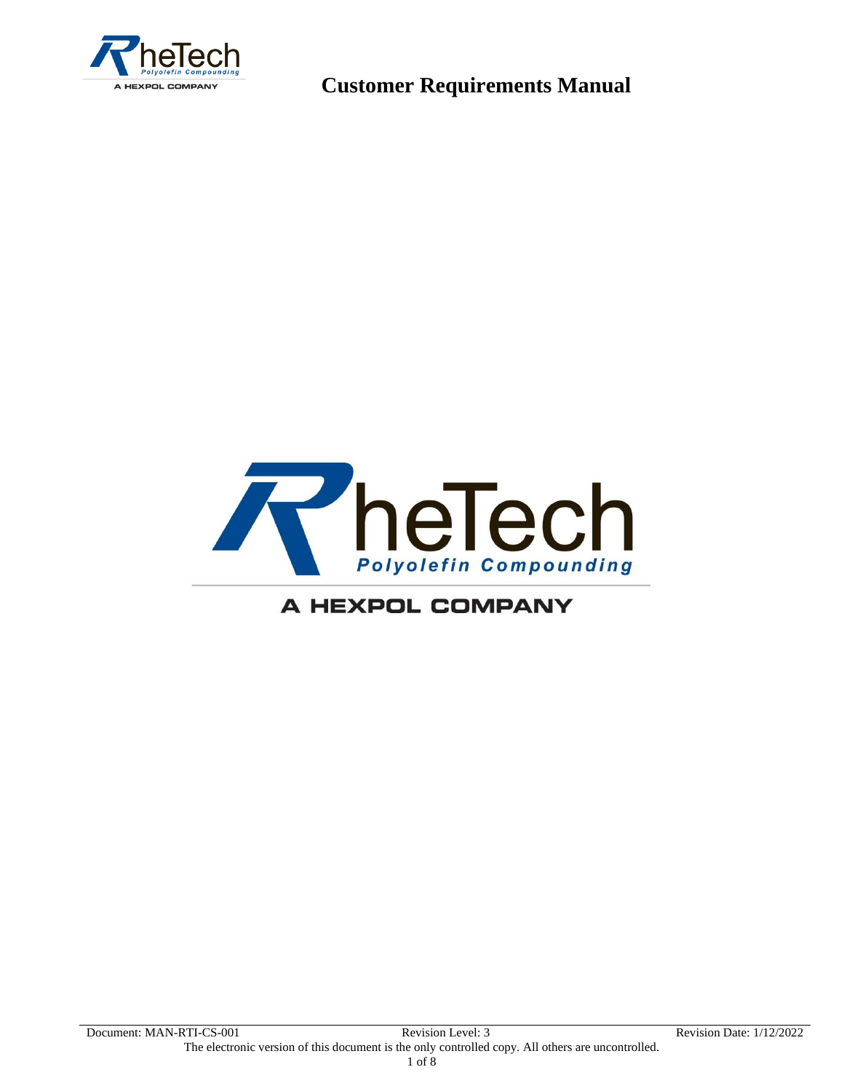



### A HEXPOL COMPANY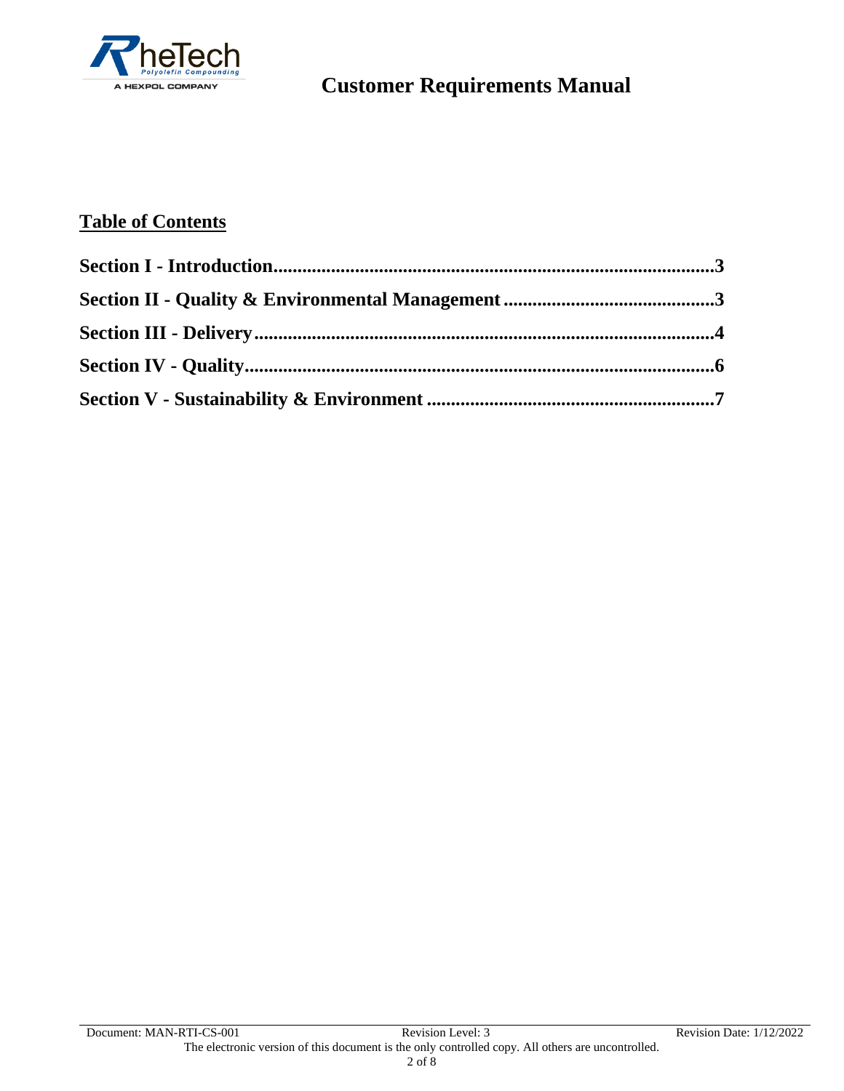

### **Table of Contents**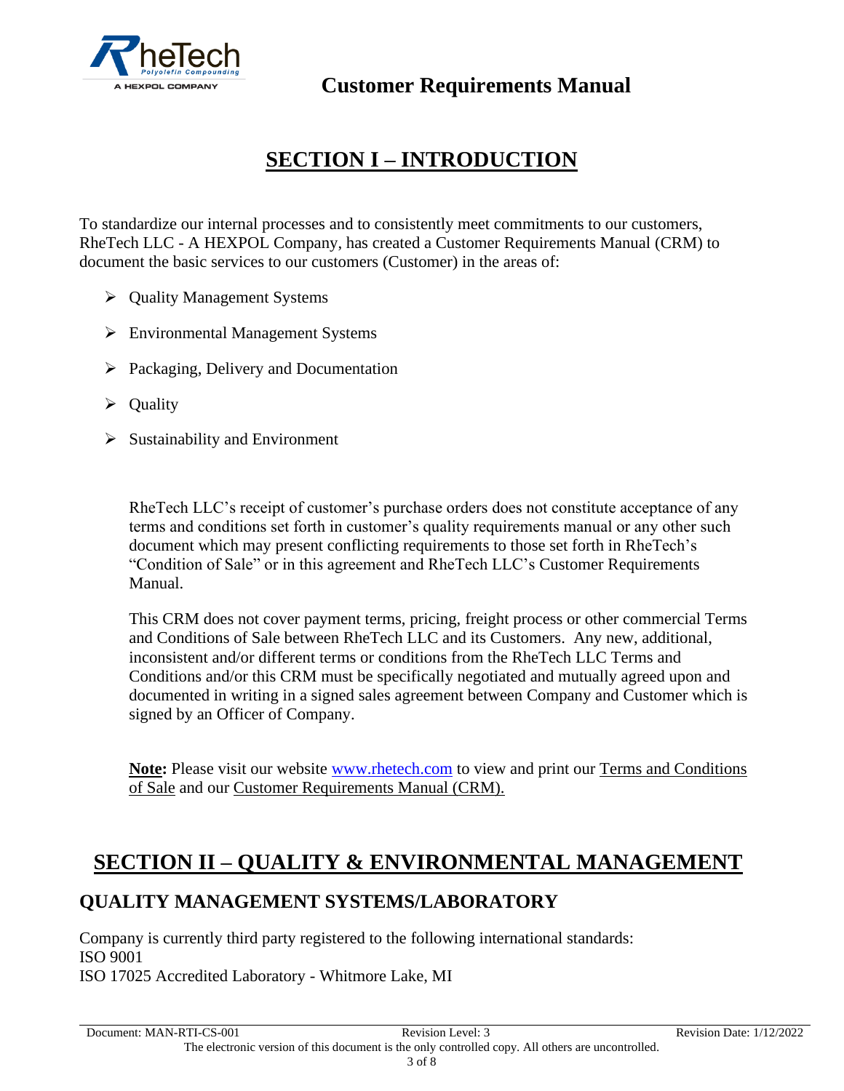

# **SECTION I – INTRODUCTION**

To standardize our internal processes and to consistently meet commitments to our customers, RheTech LLC - A HEXPOL Company, has created a Customer Requirements Manual (CRM) to document the basic services to our customers (Customer) in the areas of:

- ➢ Quality Management Systems
- ➢ Environmental Management Systems
- ➢ Packaging, Delivery and Documentation
- ➢ Quality
- $\triangleright$  Sustainability and Environment

RheTech LLC's receipt of customer's purchase orders does not constitute acceptance of any terms and conditions set forth in customer's quality requirements manual or any other such document which may present conflicting requirements to those set forth in RheTech's "Condition of Sale" or in this agreement and RheTech LLC's Customer Requirements Manual.

This CRM does not cover payment terms, pricing, freight process or other commercial Terms and Conditions of Sale between RheTech LLC and its Customers. Any new, additional, inconsistent and/or different terms or conditions from the RheTech LLC Terms and Conditions and/or this CRM must be specifically negotiated and mutually agreed upon and documented in writing in a signed sales agreement between Company and Customer which is signed by an Officer of Company.

**Note:** Please visit our website [www.rhetech.com](http://www.rhetech.com/) to view and print our Terms and Conditions of Sale and our Customer Requirements Manual (CRM).

## **SECTION II – QUALITY & ENVIRONMENTAL MANAGEMENT**

### **QUALITY MANAGEMENT SYSTEMS/LABORATORY**

Company is currently third party registered to the following international standards: ISO 9001 ISO 17025 Accredited Laboratory - Whitmore Lake, MI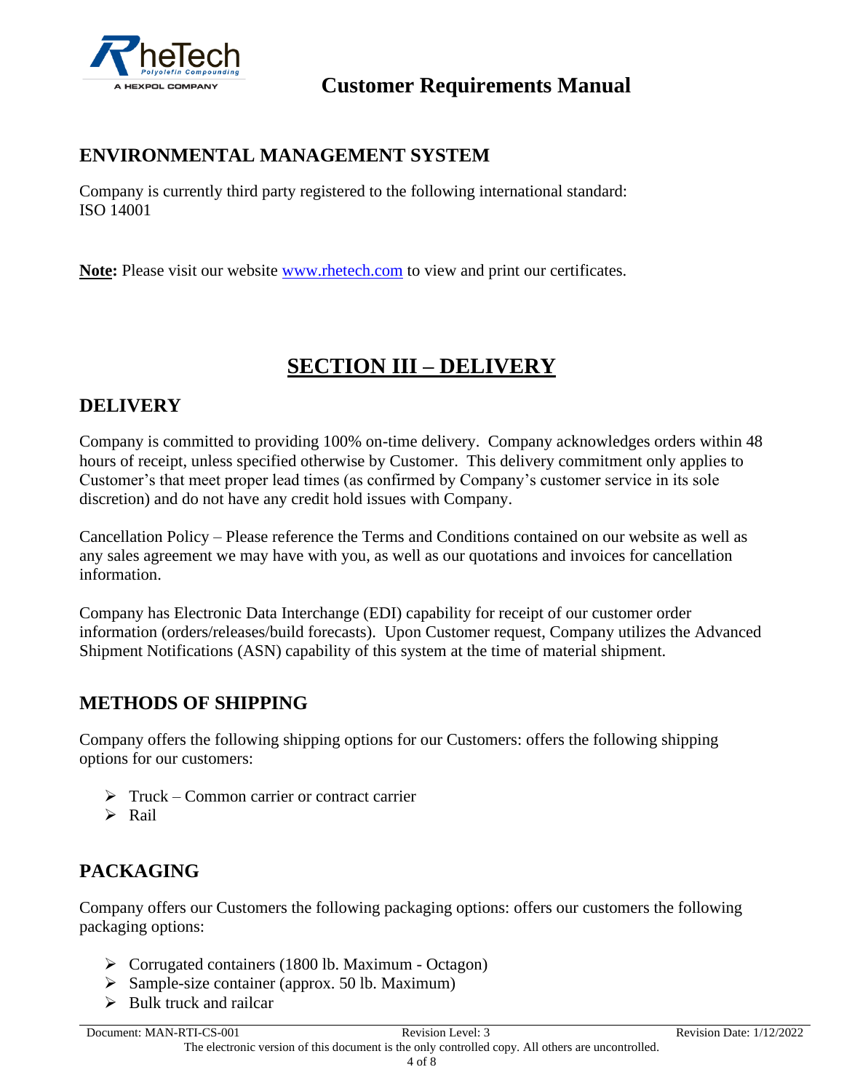

### **ENVIRONMENTAL MANAGEMENT SYSTEM**

Company is currently third party registered to the following international standard: ISO 14001

**Note:** Please visit our website [www.rhetech.com](http://www.rhetech.com/) to view and print our certificates.

# **SECTION III – DELIVERY**

#### **DELIVERY**

Company is committed to providing 100% on-time delivery. Company acknowledges orders within 48 hours of receipt, unless specified otherwise by Customer. This delivery commitment only applies to Customer's that meet proper lead times (as confirmed by Company's customer service in its sole discretion) and do not have any credit hold issues with Company.

Cancellation Policy – Please reference the Terms and Conditions contained on our website as well as any sales agreement we may have with you, as well as our quotations and invoices for cancellation information.

Company has Electronic Data Interchange (EDI) capability for receipt of our customer order information (orders/releases/build forecasts). Upon Customer request, Company utilizes the Advanced Shipment Notifications (ASN) capability of this system at the time of material shipment.

### **METHODS OF SHIPPING**

Company offers the following shipping options for our Customers: offers the following shipping options for our customers:

- $\triangleright$  Truck Common carrier or contract carrier
- ➢ Rail

### **PACKAGING**

Company offers our Customers the following packaging options: offers our customers the following packaging options:

- ➢ Corrugated containers (1800 lb. Maximum Octagon)
- $\triangleright$  Sample-size container (approx. 50 lb. Maximum)
- $\triangleright$  Bulk truck and railcar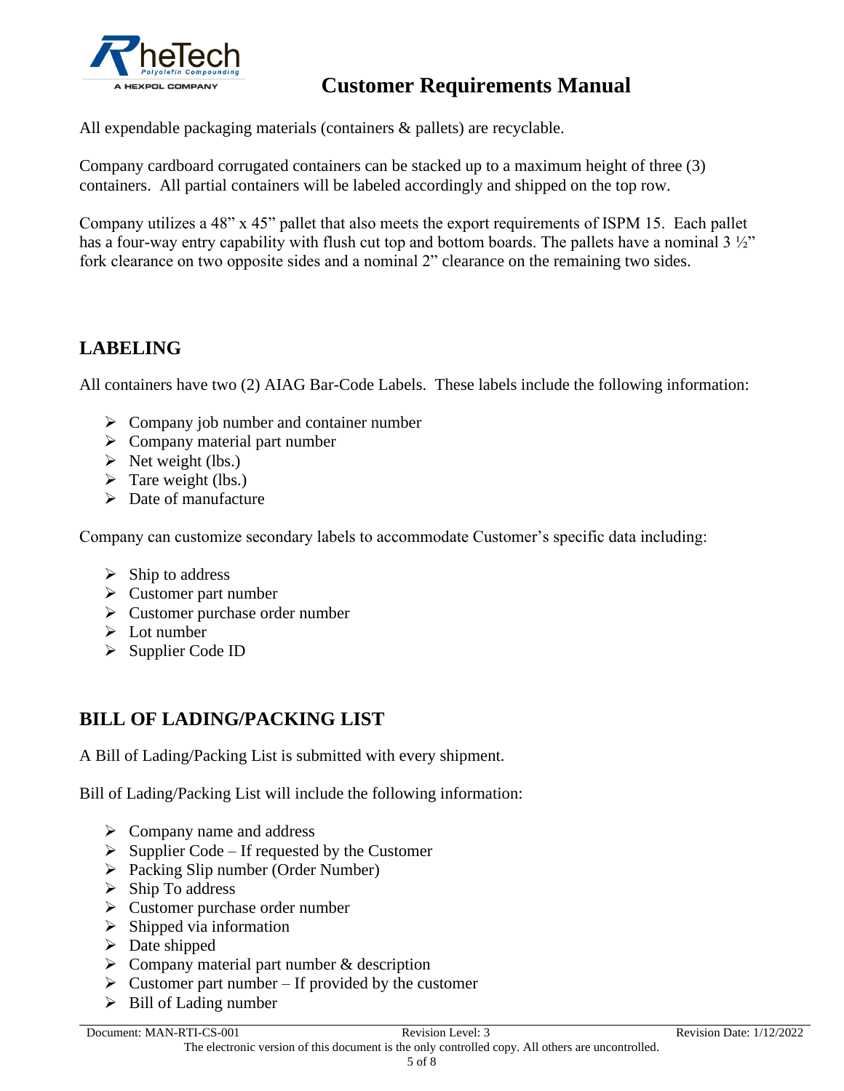

All expendable packaging materials (containers & pallets) are recyclable.

Company cardboard corrugated containers can be stacked up to a maximum height of three (3) containers. All partial containers will be labeled accordingly and shipped on the top row.

Company utilizes a 48" x 45" pallet that also meets the export requirements of ISPM 15. Each pallet has a four-way entry capability with flush cut top and bottom boards. The pallets have a nominal 3 ½" fork clearance on two opposite sides and a nominal 2" clearance on the remaining two sides.

### **LABELING**

All containers have two (2) AIAG Bar-Code Labels. These labels include the following information:

- $\triangleright$  Company job number and container number
- $\triangleright$  Company material part number
- $\triangleright$  Net weight (lbs.)
- $\triangleright$  Tare weight (lbs.)
- $\triangleright$  Date of manufacture

Company can customize secondary labels to accommodate Customer's specific data including:

- $\triangleright$  Ship to address
- ➢ Customer part number
- ➢ Customer purchase order number
- $\triangleright$  Lot number
- ➢ Supplier Code ID

### **BILL OF LADING/PACKING LIST**

A Bill of Lading/Packing List is submitted with every shipment.

Bill of Lading/Packing List will include the following information:

- $\triangleright$  Company name and address
- $\triangleright$  Supplier Code If requested by the Customer
- ➢ Packing Slip number (Order Number)
- ➢ Ship To address
- ➢ Customer purchase order number
- $\triangleright$  Shipped via information
- $\triangleright$  Date shipped
- $\triangleright$  Company material part number & description
- $\triangleright$  Customer part number If provided by the customer
- $\triangleright$  Bill of Lading number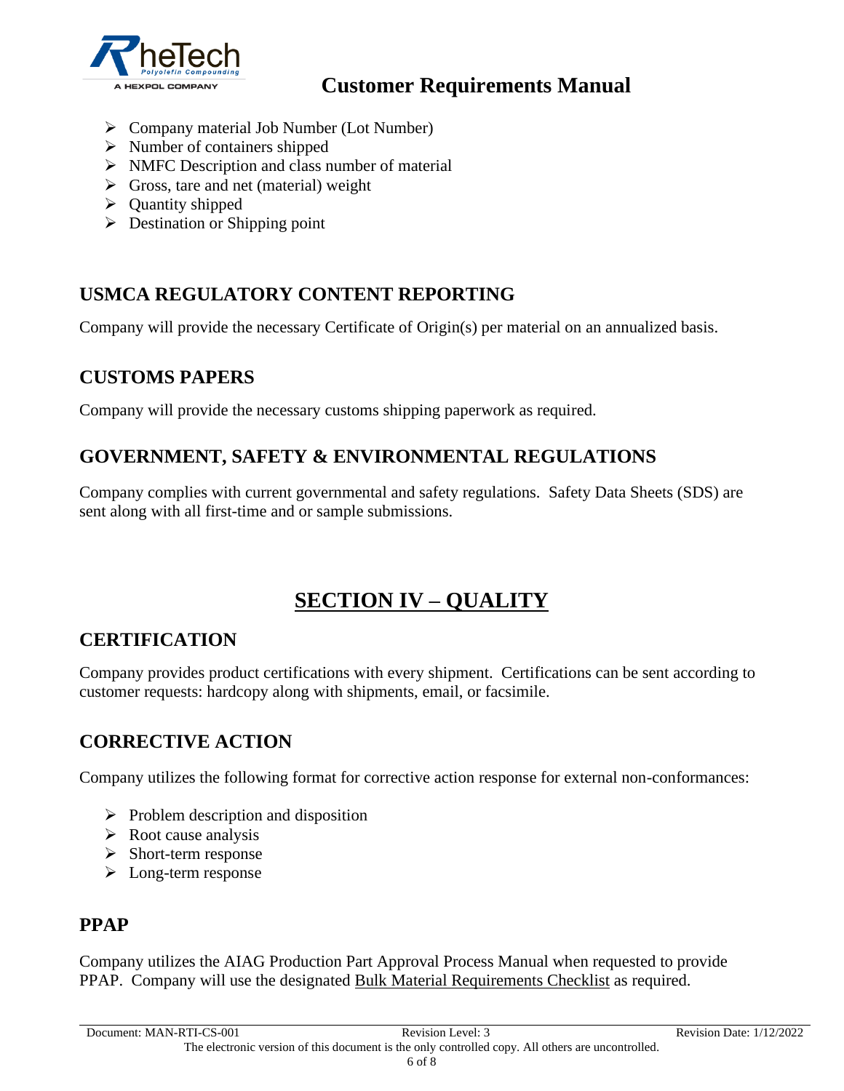

- ➢ Company material Job Number (Lot Number)
- ➢ Number of containers shipped
- ➢ NMFC Description and class number of material
- $\triangleright$  Gross, tare and net (material) weight
- ➢ Quantity shipped
- $\triangleright$  Destination or Shipping point

#### **USMCA REGULATORY CONTENT REPORTING**

Company will provide the necessary Certificate of Origin(s) per material on an annualized basis.

#### **CUSTOMS PAPERS**

Company will provide the necessary customs shipping paperwork as required.

### **GOVERNMENT, SAFETY & ENVIRONMENTAL REGULATIONS**

Company complies with current governmental and safety regulations. Safety Data Sheets (SDS) are sent along with all first-time and or sample submissions.

## **SECTION IV – QUALITY**

#### **CERTIFICATION**

Company provides product certifications with every shipment. Certifications can be sent according to customer requests: hardcopy along with shipments, email, or facsimile.

#### **CORRECTIVE ACTION**

Company utilizes the following format for corrective action response for external non-conformances:

- $\triangleright$  Problem description and disposition
- $\triangleright$  Root cause analysis
- ➢ Short-term response
- ➢ Long-term response

#### **PPAP**

Company utilizes the AIAG Production Part Approval Process Manual when requested to provide PPAP. Company will use the designated Bulk Material Requirements Checklist as required.

Document: MAN-RTI-CS-001 Revision Level: 3 Revision Date: 1/12/2022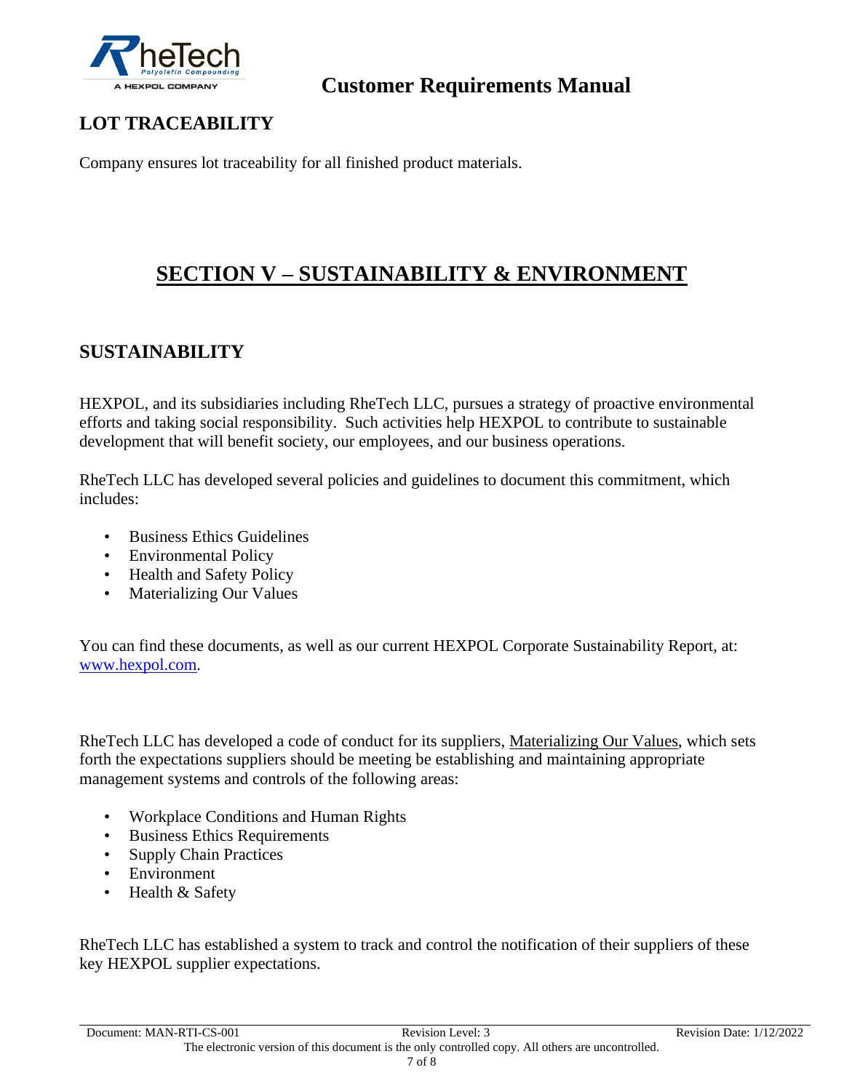

## **LOT TRACEABILITY**

Company ensures lot traceability for all finished product materials.

## **SECTION V – SUSTAINABILITY & ENVIRONMENT**

### **SUSTAINABILITY**

HEXPOL, and its subsidiaries including RheTech LLC, pursues a strategy of proactive environmental efforts and taking social responsibility. Such activities help HEXPOL to contribute to sustainable development that will benefit society, our employees, and our business operations.

RheTech LLC has developed several policies and guidelines to document this commitment, which includes:

- Business Ethics Guidelines
- Environmental Policy
- Health and Safety Policy
- Materializing Our Values

You can find these documents, as well as our current HEXPOL Corporate Sustainability Report, at: [www.hexpol.com.](http://www.hexpol.com/)

RheTech LLC has developed a code of conduct for its suppliers, Materializing Our Values, which sets forth the expectations suppliers should be meeting be establishing and maintaining appropriate management systems and controls of the following areas:

- Workplace Conditions and Human Rights
- Business Ethics Requirements
- Supply Chain Practices
- Environment
- Health & Safety

RheTech LLC has established a system to track and control the notification of their suppliers of these key HEXPOL supplier expectations.

Document: MAN-RTI-CS-001 Revision Level: 3 Revision Date: 1/12/2022